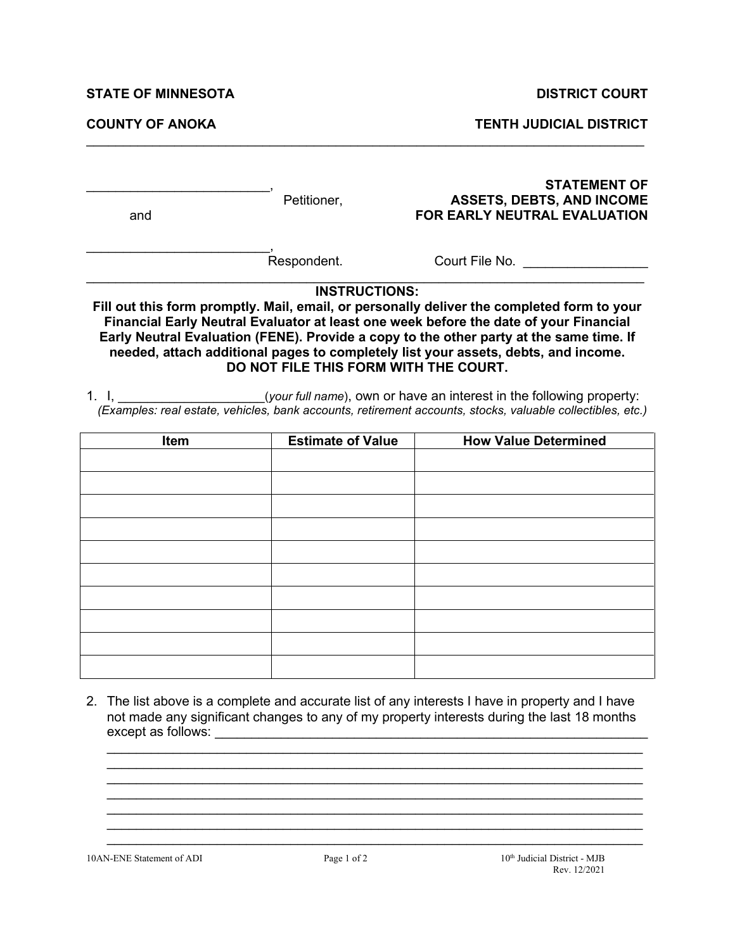## **STATE OF MINNESOTA DISTRICT COURT**

**COUNTY OF ANOKA TENTH JUDICIAL DISTRICT** 

| and                                                                                                                                                                                                                                                                                                                                                                                                                                                                                                                                                                                                                | Petitioner,              | <b>STATEMENT OF</b><br><b>ASSETS, DEBTS, AND INCOME</b><br><b>FOR EARLY NEUTRAL EVALUATION</b> |  |  |  |  |  |
|--------------------------------------------------------------------------------------------------------------------------------------------------------------------------------------------------------------------------------------------------------------------------------------------------------------------------------------------------------------------------------------------------------------------------------------------------------------------------------------------------------------------------------------------------------------------------------------------------------------------|--------------------------|------------------------------------------------------------------------------------------------|--|--|--|--|--|
|                                                                                                                                                                                                                                                                                                                                                                                                                                                                                                                                                                                                                    | Respondent.              | Court File No. <b>Example 10</b>                                                               |  |  |  |  |  |
| Fill out this form promptly. Mail, email, or personally deliver the completed form to your<br>Financial Early Neutral Evaluator at least one week before the date of your Financial<br>Early Neutral Evaluation (FENE). Provide a copy to the other party at the same time. If<br>needed, attach additional pages to completely list your assets, debts, and income.<br>DO NOT FILE THIS FORM WITH THE COURT.<br>1. I, the same (your full name), own or have an interest in the following property:<br>(Examples: real estate, vehicles, bank accounts, retirement accounts, stocks, valuable collectibles, etc.) |                          |                                                                                                |  |  |  |  |  |
| <b>Item</b>                                                                                                                                                                                                                                                                                                                                                                                                                                                                                                                                                                                                        | <b>Estimate of Value</b> | <b>How Value Determined</b>                                                                    |  |  |  |  |  |
|                                                                                                                                                                                                                                                                                                                                                                                                                                                                                                                                                                                                                    |                          |                                                                                                |  |  |  |  |  |
|                                                                                                                                                                                                                                                                                                                                                                                                                                                                                                                                                                                                                    |                          |                                                                                                |  |  |  |  |  |
|                                                                                                                                                                                                                                                                                                                                                                                                                                                                                                                                                                                                                    |                          |                                                                                                |  |  |  |  |  |
|                                                                                                                                                                                                                                                                                                                                                                                                                                                                                                                                                                                                                    |                          |                                                                                                |  |  |  |  |  |
|                                                                                                                                                                                                                                                                                                                                                                                                                                                                                                                                                                                                                    |                          |                                                                                                |  |  |  |  |  |
|                                                                                                                                                                                                                                                                                                                                                                                                                                                                                                                                                                                                                    |                          |                                                                                                |  |  |  |  |  |
|                                                                                                                                                                                                                                                                                                                                                                                                                                                                                                                                                                                                                    |                          |                                                                                                |  |  |  |  |  |

 $\mathcal{L}_\mathcal{L} = \{ \mathcal{L}_\mathcal{L} = \{ \mathcal{L}_\mathcal{L} = \{ \mathcal{L}_\mathcal{L} = \{ \mathcal{L}_\mathcal{L} = \{ \mathcal{L}_\mathcal{L} = \{ \mathcal{L}_\mathcal{L} = \{ \mathcal{L}_\mathcal{L} = \{ \mathcal{L}_\mathcal{L} = \{ \mathcal{L}_\mathcal{L} = \{ \mathcal{L}_\mathcal{L} = \{ \mathcal{L}_\mathcal{L} = \{ \mathcal{L}_\mathcal{L} = \{ \mathcal{L}_\mathcal{L} = \{ \mathcal{L}_\mathcal{$ 

2. The list above is a complete and accurate list of any interests I have in property and I have not made any significant changes to any of my property interests during the last 18 months except as follows: \_\_\_\_\_\_\_\_\_\_\_\_\_\_\_\_\_\_\_\_\_\_\_\_\_\_\_\_\_\_\_\_\_\_\_\_\_\_\_\_\_\_\_\_\_\_\_\_\_\_\_\_\_\_\_\_\_\_\_

 $\_$  , and the set of the set of the set of the set of the set of the set of the set of the set of the set of the set of the set of the set of the set of the set of the set of the set of the set of the set of the set of th  $\_$  , and the set of the set of the set of the set of the set of the set of the set of the set of the set of the set of the set of the set of the set of the set of the set of the set of the set of the set of the set of th  $\_$  , and the set of the set of the set of the set of the set of the set of the set of the set of the set of the set of the set of the set of the set of the set of the set of the set of the set of the set of the set of th  $\_$  , and the set of the set of the set of the set of the set of the set of the set of the set of the set of the set of the set of the set of the set of the set of the set of the set of the set of the set of the set of th  $\_$  , and the set of the set of the set of the set of the set of the set of the set of the set of the set of the set of the set of the set of the set of the set of the set of the set of the set of the set of the set of th  $\_$  , and the set of the set of the set of the set of the set of the set of the set of the set of the set of the set of the set of the set of the set of the set of the set of the set of the set of the set of the set of th  $\_$  , and the set of the set of the set of the set of the set of the set of the set of the set of the set of the set of the set of the set of the set of the set of the set of the set of the set of the set of the set of th

10AN-ENE Statement of ADI Page 1 of 2 10<sup>th</sup> Judicial District - MJB